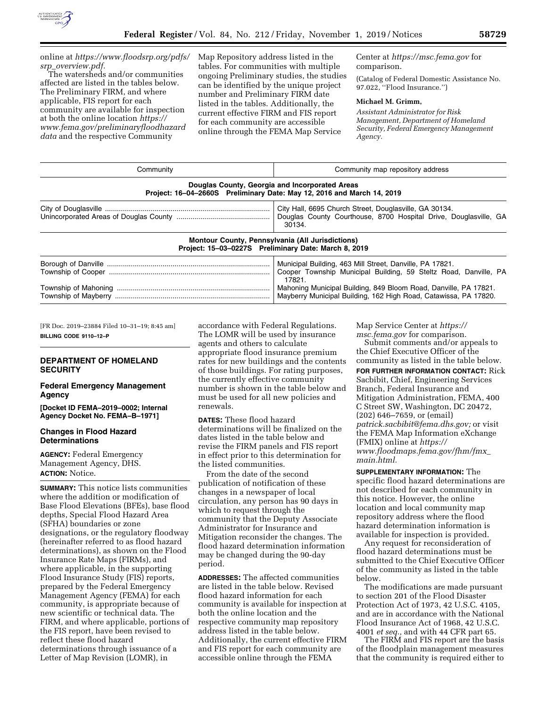

online at *[https://www.floodsrp.org/pdfs/](https://www.floodsrp.org/pdfs/srp_overview.pdf) srp*\_*[overview.pdf.](https://www.floodsrp.org/pdfs/srp_overview.pdf)* 

The watersheds and/or communities affected are listed in the tables below. The Preliminary FIRM, and where applicable, FIS report for each community are available for inspection at both the online location *[https://](https://www.fema.gov/preliminaryfloodhazarddata) [www.fema.gov/preliminaryfloodhazard](https://www.fema.gov/preliminaryfloodhazarddata) [data](https://www.fema.gov/preliminaryfloodhazarddata)* and the respective Community

Map Repository address listed in the tables. For communities with multiple ongoing Preliminary studies, the studies can be identified by the unique project number and Preliminary FIRM date listed in the tables. Additionally, the current effective FIRM and FIS report for each community are accessible online through the FEMA Map Service

Center at *<https://msc.fema.gov>* for comparison.

(Catalog of Federal Domestic Assistance No. 97.022, ''Flood Insurance.'')

#### **Michael M. Grimm,**

*Assistant Administrator for Risk Management, Department of Homeland Security, Federal Emergency Management Agency.* 

| Community | Community map repository address                                                                                                       |  |  |  |
|-----------|----------------------------------------------------------------------------------------------------------------------------------------|--|--|--|
|           | Douglas County, Georgia and Incorporated Areas<br>Project: 16-04-2660S Preliminary Date: May 12, 2016 and March 14, 2019               |  |  |  |
|           | City Hall, 6695 Church Street, Douglasville, GA 30134.<br>Douglas County Courthouse, 8700 Hospital Drive, Douglasville, GA<br>30134.   |  |  |  |
|           | Montour County, Pennsylvania (All Jurisdictions)<br>Project: 15-03-0227S Preliminary Date: March 8, 2019                               |  |  |  |
|           | Municipal Building, 463 Mill Street, Danville, PA 17821.<br>Cooper Township Municipal Building, 59 Steltz Road, Danville, PA<br>17821. |  |  |  |
|           | Mahoning Municipal Building, 849 Bloom Road, Danville, PA 17821.<br>Mayberry Municipal Building, 162 High Road, Catawissa, PA 17820.   |  |  |  |

[FR Doc. 2019–23884 Filed 10–31–19; 8:45 am] **BILLING CODE 9110–12–P** 

# **DEPARTMENT OF HOMELAND SECURITY**

#### **Federal Emergency Management Agency**

**[Docket ID FEMA–2019–0002; Internal Agency Docket No. FEMA–B–1971]** 

### **Changes in Flood Hazard Determinations**

**AGENCY:** Federal Emergency Management Agency, DHS. **ACTION:** Notice.

**SUMMARY:** This notice lists communities where the addition or modification of Base Flood Elevations (BFEs), base flood depths, Special Flood Hazard Area (SFHA) boundaries or zone designations, or the regulatory floodway (hereinafter referred to as flood hazard determinations), as shown on the Flood Insurance Rate Maps (FIRMs), and where applicable, in the supporting Flood Insurance Study (FIS) reports, prepared by the Federal Emergency Management Agency (FEMA) for each community, is appropriate because of new scientific or technical data. The FIRM, and where applicable, portions of the FIS report, have been revised to reflect these flood hazard determinations through issuance of a Letter of Map Revision (LOMR), in

accordance with Federal Regulations. The LOMR will be used by insurance agents and others to calculate appropriate flood insurance premium rates for new buildings and the contents of those buildings. For rating purposes, the currently effective community number is shown in the table below and must be used for all new policies and renewals.

**DATES:** These flood hazard determinations will be finalized on the dates listed in the table below and revise the FIRM panels and FIS report in effect prior to this determination for the listed communities.

From the date of the second publication of notification of these changes in a newspaper of local circulation, any person has 90 days in which to request through the community that the Deputy Associate Administrator for Insurance and Mitigation reconsider the changes. The flood hazard determination information may be changed during the 90-day period.

**ADDRESSES:** The affected communities are listed in the table below. Revised flood hazard information for each community is available for inspection at both the online location and the respective community map repository address listed in the table below. Additionally, the current effective FIRM and FIS report for each community are accessible online through the FEMA

Map Service Center at *[https://](https://msc.fema.gov) [msc.fema.gov](https://msc.fema.gov)* for comparison.

Submit comments and/or appeals to the Chief Executive Officer of the community as listed in the table below. **FOR FURTHER INFORMATION CONTACT:** Rick Sacbibit, Chief, Engineering Services Branch, Federal Insurance and Mitigation Administration, FEMA, 400 C Street SW, Washington, DC 20472, (202) 646–7659, or (email) *[patrick.sacbibit@fema.dhs.gov;](mailto:patrick.sacbibit@fema.dhs.gov)* or visit the FEMA Map Information eXchange (FMIX) online at *[https://](https://www.floodmaps.fema.gov/fhm/fmx_main.html) [www.floodmaps.fema.gov/fhm/fmx](https://www.floodmaps.fema.gov/fhm/fmx_main.html)*\_ *[main.html.](https://www.floodmaps.fema.gov/fhm/fmx_main.html)* 

**SUPPLEMENTARY INFORMATION:** The specific flood hazard determinations are not described for each community in this notice. However, the online location and local community map repository address where the flood hazard determination information is available for inspection is provided.

Any request for reconsideration of flood hazard determinations must be submitted to the Chief Executive Officer of the community as listed in the table below.

The modifications are made pursuant to section 201 of the Flood Disaster Protection Act of 1973, 42 U.S.C. 4105, and are in accordance with the National Flood Insurance Act of 1968, 42 U.S.C. 4001 *et seq.,* and with 44 CFR part 65.

The FIRM and FIS report are the basis of the floodplain management measures that the community is required either to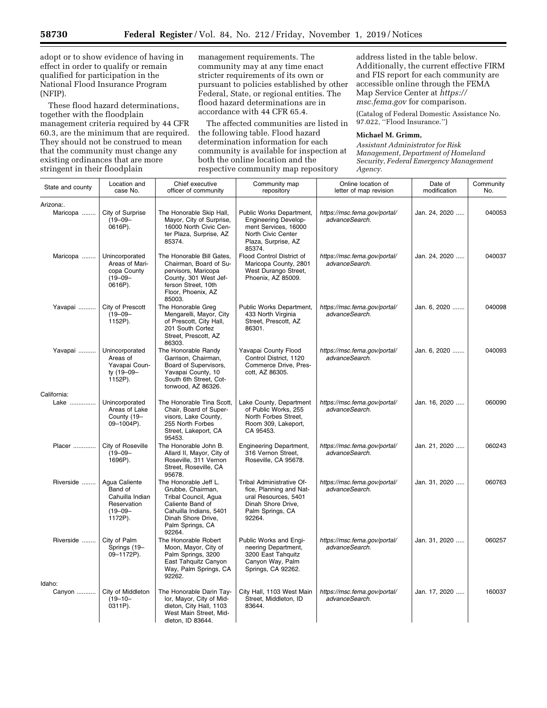adopt or to show evidence of having in effect in order to qualify or remain qualified for participation in the National Flood Insurance Program (NFIP).

These flood hazard determinations, together with the floodplain management criteria required by 44 CFR 60.3, are the minimum that are required. They should not be construed to mean that the community must change any existing ordinances that are more stringent in their floodplain

management requirements. The community may at any time enact stricter requirements of its own or pursuant to policies established by other Federal, State, or regional entities. The flood hazard determinations are in accordance with 44 CFR 65.4.

The affected communities are listed in the following table. Flood hazard determination information for each community is available for inspection at both the online location and the respective community map repository

address listed in the table below. Additionally, the current effective FIRM and FIS report for each community are accessible online through the FEMA Map Service Center at *[https://](https://msc.fema.gov) [msc.fema.gov](https://msc.fema.gov)* for comparison.

(Catalog of Federal Domestic Assistance No. 97.022, ''Flood Insurance.'')

#### **Michael M. Grimm,**

*Assistant Administrator for Risk Management, Department of Homeland Security, Federal Emergency Management Agency.* 

| State and county      | Location and<br>case No.                                                              | Chief executive<br>officer of community                                                                                                                              | Community map<br>repository                                                                                                            | Online location of<br>letter of map revision   | Date of<br>modification | Community<br>No. |
|-----------------------|---------------------------------------------------------------------------------------|----------------------------------------------------------------------------------------------------------------------------------------------------------------------|----------------------------------------------------------------------------------------------------------------------------------------|------------------------------------------------|-------------------------|------------------|
| Arizona:.<br>Maricopa | City of Surprise<br>$(19 - 09 -$<br>0616P).                                           | The Honorable Skip Hall,<br>Mayor, City of Surprise,<br>16000 North Civic Cen-<br>ter Plaza, Surprise, AZ<br>85374.                                                  | Public Works Department,<br><b>Engineering Develop-</b><br>ment Services, 16000<br>North Civic Center<br>Plaza, Surprise, AZ<br>85374. | https://msc.fema.gov/portal/<br>advanceSearch. | Jan. 24, 2020           | 040053           |
| Maricopa              | Unincorporated<br>Areas of Mari-<br>copa County<br>$(19 - 09 -$<br>0616P).            | The Honorable Bill Gates,<br>Chairman, Board of Su-<br>pervisors, Maricopa<br>County, 301 West Jef-<br>ferson Street, 10th<br>Floor, Phoenix, AZ<br>85003.           | Flood Control District of<br>Maricopa County, 2801<br>West Durango Street,<br>Phoenix, AZ 85009.                                       | https://msc.fema.gov/portal/<br>advanceSearch. | Jan. 24, 2020           | 040037           |
| Yavapai               | City of Prescott<br>$(19 - 09 -$<br>1152P).                                           | The Honorable Greg<br>Mengarelli, Mayor, City<br>of Prescott, City Hall,<br>201 South Cortez<br>Street, Prescott, AZ<br>86303.                                       | Public Works Department,<br>433 North Virginia<br>Street, Prescott, AZ<br>86301.                                                       | https://msc.fema.gov/portal/<br>advanceSearch. | Jan. 6, 2020            | 040098           |
| Yavapai               | Unincorporated<br>Areas of<br>Yavapai Coun-<br>ty (19-09-<br>1152P).                  | The Honorable Randy<br>Garrison, Chairman,<br>Board of Supervisors,<br>Yavapai County, 10<br>South 6th Street, Cot-<br>tonwood, AZ 86326.                            | Yavapai County Flood<br>Control District, 1120<br>Commerce Drive, Pres-<br>cott, AZ 86305.                                             | https://msc.fema.gov/portal/<br>advanceSearch. | Jan. 6, 2020            | 040093           |
| California:           |                                                                                       |                                                                                                                                                                      |                                                                                                                                        |                                                |                         |                  |
| Lake                  | Unincorporated<br>Areas of Lake<br>County (19-<br>09-1004P).                          | The Honorable Tina Scott.<br>Chair, Board of Super-<br>visors, Lake County,<br>255 North Forbes<br>Street, Lakeport, CA<br>95453.                                    | Lake County, Department<br>of Public Works, 255<br>North Forbes Street,<br>Room 309, Lakeport,<br>CA 95453.                            | https://msc.fema.gov/portal/<br>advanceSearch. | Jan. 16, 2020           | 060090           |
| Placer                | City of Roseville<br>$(19 - 09 -$<br>1696P).                                          | The Honorable John B.<br>Allard II, Mayor, City of<br>Roseville, 311 Vernon<br>Street, Roseville, CA<br>95678.                                                       | <b>Engineering Department,</b><br>316 Vernon Street,<br>Roseville, CA 95678.                                                           | https://msc.fema.gov/portal/<br>advanceSearch. | Jan. 21, 2020           | 060243           |
| Riverside             | Agua Caliente<br>Band of<br>Cahuilla Indian<br>Reservation<br>$(19 - 09 -$<br>1172P). | The Honorable Jeff L.<br>Grubbe, Chairman,<br>Tribal Council, Agua<br>Caliente Band of<br>Cahuilla Indians, 5401<br>Dinah Shore Drive,<br>Palm Springs, CA<br>92264. | Tribal Administrative Of-<br>fice, Planning and Nat-<br>ural Resources, 5401<br>Dinah Shore Drive.<br>Palm Springs, CA<br>92264.       | https://msc.fema.gov/portal/<br>advanceSearch. | Jan. 31, 2020           | 060763           |
| Riverside             | City of Palm<br>Springs (19-<br>09-1172P).                                            | The Honorable Robert<br>Moon, Mayor, City of<br>Palm Springs, 3200<br>East Tahquitz Canyon<br>Way, Palm Springs, CA<br>92262.                                        | Public Works and Engi-<br>neering Department,<br>3200 East Tahquitz<br>Canyon Way, Palm<br>Springs, CA 92262.                          | https://msc.fema.gov/portal/<br>advanceSearch. | Jan. 31, 2020           | 060257           |
| Idaho:<br>Canyon      | City of Middleton<br>$(19 - 10 -$<br>0311P).                                          | The Honorable Darin Tay-<br>lor, Mayor, City of Mid-<br>dleton, City Hall, 1103<br>West Main Street, Mid-<br>dleton, ID 83644.                                       | City Hall, 1103 West Main<br>Street, Middleton, ID<br>83644.                                                                           | https://msc.fema.gov/portal/<br>advanceSearch. | Jan. 17, 2020           | 160037           |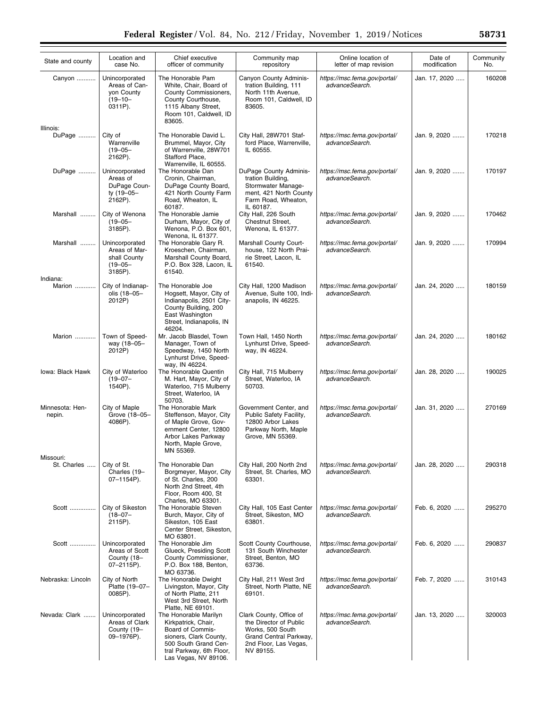| State and county          | Location and<br>case No.                                                   | Chief executive<br>officer of community                                                                                                                                | Community map<br>repository                                                                                                           | Online location of<br>letter of map revision   | Date of<br>modification | Community<br>No. |
|---------------------------|----------------------------------------------------------------------------|------------------------------------------------------------------------------------------------------------------------------------------------------------------------|---------------------------------------------------------------------------------------------------------------------------------------|------------------------------------------------|-------------------------|------------------|
| Canyon                    | Unincorporated<br>Areas of Can-<br>yon County<br>$(19 - 10 -$<br>0311P).   | The Honorable Pam<br>White, Chair, Board of<br>County Commissioners,<br>County Courthouse,<br>1115 Albany Street,<br>Room 101, Caldwell, ID<br>83605.                  | Canyon County Adminis-<br>tration Building, 111<br>North 11th Avenue,<br>Room 101, Caldwell, ID<br>83605.                             | https://msc.fema.gov/portal/<br>advanceSearch. | Jan. 17, 2020           | 160208           |
| Illinois:<br>DuPage       | City of<br>Warrenville<br>$(19 - 05 -$<br>2162P).                          | The Honorable David L.<br>Brummel, Mayor, City<br>of Warrenville, 28W701<br>Stafford Place,<br>Warrenville, IL 60555.                                                  | City Hall, 28W701 Staf-<br>ford Place, Warrenville,<br>IL 60555.                                                                      | https://msc.fema.gov/portal/<br>advanceSearch. | Jan. 9, 2020            | 170218           |
| DuPage                    | Unincorporated<br>Areas of<br>DuPage Coun-<br>ty (19-05-<br>2162P).        | The Honorable Dan<br>Cronin, Chairman,<br>DuPage County Board,<br>421 North County Farm<br>Road, Wheaton, IL<br>60187.                                                 | DuPage County Adminis-<br>tration Building,<br>Stormwater Manage-<br>ment, 421 North County<br>Farm Road, Wheaton,<br>IL 60187.       | https://msc.fema.gov/portal/<br>advanceSearch. | Jan. 9, 2020            | 170197           |
| Marshall                  | City of Wenona<br>$(19 - 05 -$<br>3185P).                                  | The Honorable Jamie<br>Durham, Mayor, City of<br>Wenona, P.O. Box 601,<br>Wenona, IL 61377.                                                                            | City Hall, 226 South<br>Chestnut Street,<br>Wenona, IL 61377.                                                                         | https://msc.fema.gov/portal/<br>advanceSearch. | Jan. 9, 2020            | 170462           |
| Marshall                  | Unincorporated<br>Areas of Mar-<br>shall County<br>$(19 - 05 -$<br>3185P). | The Honorable Gary R.<br>Kroeschen, Chairman,<br>Marshall County Board,<br>P.O. Box 328, Lacon, IL<br>61540.                                                           | <b>Marshall County Court-</b><br>house, 122 North Prai-<br>rie Street, Lacon, IL<br>61540.                                            | https://msc.fema.gov/portal/<br>advanceSearch. | Jan. 9, 2020            | 170994           |
| Indiana:<br>Marion        | City of Indianap-<br>olis (18-05-<br>2012P)                                | The Honorable Joe<br>Hogsett, Mayor, City of<br>Indianapolis, 2501 City-<br>County Building, 200<br>East Washington<br>Street, Indianapolis, IN<br>46204.              | City Hall, 1200 Madison<br>Avenue, Suite 100, Indi-<br>anapolis, IN 46225.                                                            | https://msc.fema.gov/portal/<br>advanceSearch. | Jan. 24, 2020           | 180159           |
| Marion                    | Town of Speed-<br>way (18-05-<br>2012P)                                    | Mr. Jacob Blasdel, Town<br>Manager, Town of<br>Speedway, 1450 North<br>Lynhurst Drive, Speed-<br>way, IN 46224.                                                        | Town Hall, 1450 North<br>Lynhurst Drive, Speed-<br>way, IN 46224.                                                                     | https://msc.fema.gov/portal/<br>advanceSearch. | Jan. 24, 2020           | 180162           |
| Iowa: Black Hawk          | City of Waterloo<br>$(19 - 07 -$<br>1540P).                                | The Honorable Quentin<br>M. Hart, Mayor, City of<br>Waterloo, 715 Mulberry<br>Street, Waterloo, IA<br>50703.                                                           | City Hall, 715 Mulberry<br>Street, Waterloo, IA<br>50703.                                                                             | https://msc.fema.gov/portal/<br>advanceSearch. | Jan. 28, 2020           | 190025           |
| Minnesota: Hen-<br>nepin. | City of Maple<br>Grove (18-05-<br>4086P).                                  | The Honorable Mark<br>Steffenson, Mayor, City<br>of Maple Grove, Gov-<br>ernment Center, 12800<br>Arbor Lakes Parkway<br>North, Maple Grove,<br>MN 55369.              | Government Center, and<br>Public Safety Facility,<br>12800 Arbor Lakes<br>Parkway North, Maple<br>Grove, MN 55369.                    | https://msc.fema.gov/portal/<br>advanceSearch. | Jan. 31, 2020           | 270169           |
| Missouri:<br>St. Charles  | City of St.<br>Charles (19-<br>$07 - 1154P$ ).                             | The Honorable Dan<br>Borgmeyer, Mayor, City<br>of St. Charles, 200<br>North 2nd Street, 4th<br>Floor, Room 400, St<br>Charles, MO 63301.                               | City Hall, 200 North 2nd<br>Street, St. Charles, MO<br>63301.                                                                         | https://msc.fema.gov/portal/<br>advanceSearch. | Jan. 28, 2020           | 290318           |
| Scott                     | City of Sikeston<br>$(18 - 07 -$<br>2115P).                                | The Honorable Steven<br>Burch, Mayor, City of<br>Sikeston, 105 East<br>Center Street, Sikeston,<br>MO 63801.                                                           | City Hall, 105 East Center<br>Street, Sikeston, MO<br>63801.                                                                          | https://msc.fema.gov/portal/<br>advanceSearch. | Feb. 6, 2020            | 295270           |
| Scott                     | Unincorporated<br>Areas of Scott<br>County (18-<br>07-2115P).              | The Honorable Jim<br>Glueck, Presiding Scott<br>County Commissioner,<br>P.O. Box 188, Benton,                                                                          | Scott County Courthouse,<br>131 South Winchester<br>Street, Benton, MO<br>63736.                                                      | https://msc.fema.gov/portal/<br>advanceSearch. | Feb. 6, 2020            | 290837           |
| Nebraska: Lincoln         | City of North<br>Platte (19-07-<br>0085P).                                 | MO 63736.<br>The Honorable Dwight<br>Livingston, Mayor, City<br>of North Platte, 211<br>West 3rd Street, North<br>Platte, NE 69101.                                    | City Hall, 211 West 3rd<br>Street, North Platte, NE<br>69101.                                                                         | https://msc.fema.gov/portal/<br>advanceSearch. | Feb. 7, 2020            | 310143           |
| Nevada: Clark             | Unincorporated<br>Areas of Clark<br>County (19-<br>09-1976P).              | The Honorable Marilyn<br>Kirkpatrick, Chair,<br>Board of Commis-<br>sioners, Clark County,<br>500 South Grand Cen-<br>tral Parkway, 6th Floor,<br>Las Vegas, NV 89106. | Clark County, Office of<br>the Director of Public<br>Works, 500 South<br>Grand Central Parkway,<br>2nd Floor, Las Vegas,<br>NV 89155. | https://msc.fema.gov/portal/<br>advanceSearch. | Jan. 13, 2020           | 320003           |